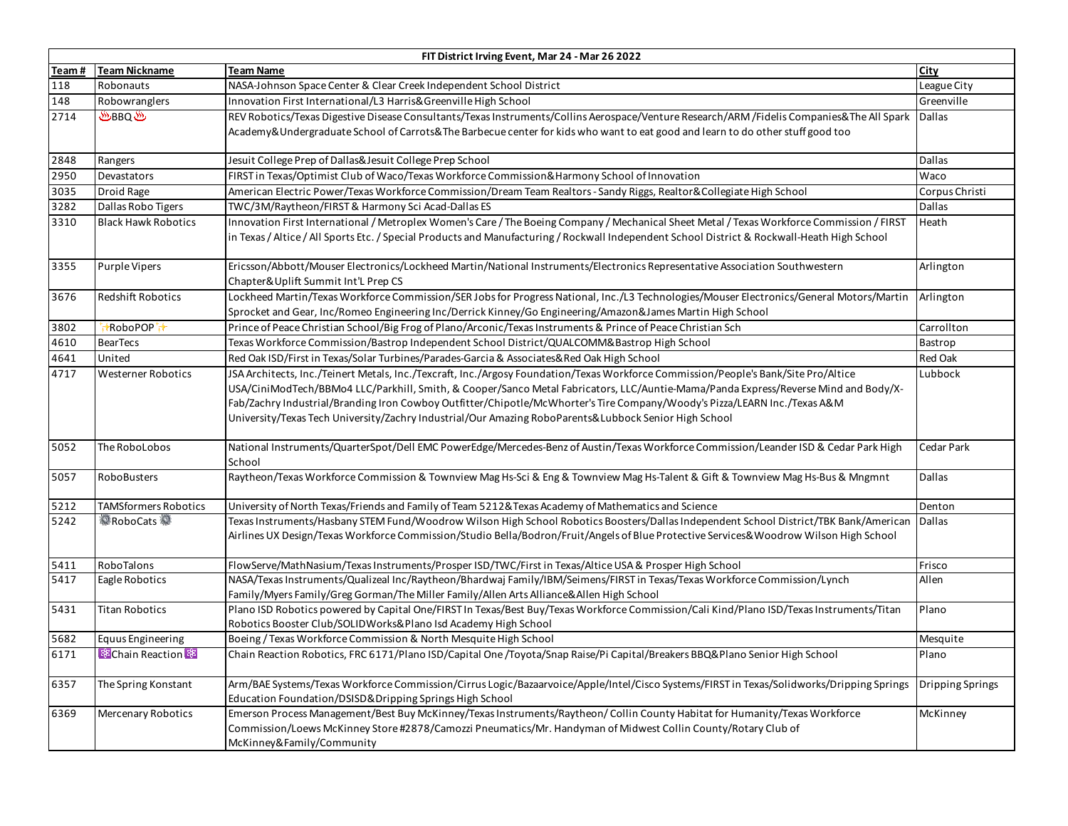|       | FIT District Irving Event, Mar 24 - Mar 26 2022 |                                                                                                                                                                                                                                                                                                                                                                                                                                                                                                                  |                         |  |  |
|-------|-------------------------------------------------|------------------------------------------------------------------------------------------------------------------------------------------------------------------------------------------------------------------------------------------------------------------------------------------------------------------------------------------------------------------------------------------------------------------------------------------------------------------------------------------------------------------|-------------------------|--|--|
| Team# | <b>Team Nickname</b>                            | <b>Team Name</b>                                                                                                                                                                                                                                                                                                                                                                                                                                                                                                 | City                    |  |  |
| 118   | Robonauts                                       | NASA-Johnson Space Center & Clear Creek Independent School District                                                                                                                                                                                                                                                                                                                                                                                                                                              | League City             |  |  |
| 148   | Robowranglers                                   | Innovation First International/L3 Harris& Greenville High School                                                                                                                                                                                                                                                                                                                                                                                                                                                 | Greenville              |  |  |
| 2714  | ము BBQ                                          | REV Robotics/Texas Digestive Disease Consultants/Texas Instruments/Collins Aerospace/Venture Research/ARM /Fidelis Companies& The All Spark Dallas<br>Academy&Undergraduate School of Carrots&The Barbecue center for kids who want to eat good and learn to do other stuff good too                                                                                                                                                                                                                             |                         |  |  |
| 2848  | Rangers                                         | Jesuit College Prep of Dallas&Jesuit College Prep School                                                                                                                                                                                                                                                                                                                                                                                                                                                         | Dallas                  |  |  |
| 2950  | Devastators                                     | FIRST in Texas/Optimist Club of Waco/Texas Workforce Commission& Harmony School of Innovation                                                                                                                                                                                                                                                                                                                                                                                                                    | Waco                    |  |  |
| 3035  | Droid Rage                                      | American Electric Power/Texas Workforce Commission/Dream Team Realtors - Sandy Riggs, Realtor&Collegiate High School                                                                                                                                                                                                                                                                                                                                                                                             | Corpus Christi          |  |  |
| 3282  | Dallas Robo Tigers                              | TWC/3M/Raytheon/FIRST & Harmony Sci Acad-Dallas ES                                                                                                                                                                                                                                                                                                                                                                                                                                                               | Dallas                  |  |  |
| 3310  | <b>Black Hawk Robotics</b>                      | Innovation First International / Metroplex Women's Care / The Boeing Company / Mechanical Sheet Metal / Texas Workforce Commission / FIRST<br>in Texas / Altice / All Sports Etc. / Special Products and Manufacturing / Rockwall Independent School District & Rockwall-Heath High School                                                                                                                                                                                                                       | Heath                   |  |  |
| 3355  | Purple Vipers                                   | Ericsson/Abbott/Mouser Electronics/Lockheed Martin/National Instruments/Electronics Representative Association Southwestern<br>Chapter&Uplift Summit Int'L Prep CS                                                                                                                                                                                                                                                                                                                                               | Arlington               |  |  |
| 3676  | Redshift Robotics                               | Lockheed Martin/Texas Workforce Commission/SER Jobs for Progress National, Inc./L3 Technologies/Mouser Electronics/General Motors/Martin<br>Sprocket and Gear, Inc/Romeo Engineering Inc/Derrick Kinney/Go Engineering/Amazon&James Martin High School                                                                                                                                                                                                                                                           | Arlington               |  |  |
| 3802  | *RoboPOP <sup>+</sup>                           | Prince of Peace Christian School/Big Frog of Plano/Arconic/Texas Instruments & Prince of Peace Christian Sch                                                                                                                                                                                                                                                                                                                                                                                                     | Carrollton              |  |  |
| 4610  | <b>BearTecs</b>                                 | Texas Workforce Commission/Bastrop Independent School District/QUALCOMM& Bastrop High School                                                                                                                                                                                                                                                                                                                                                                                                                     | Bastrop                 |  |  |
| 4641  | United                                          | Red Oak ISD/First in Texas/Solar Turbines/Parades-Garcia & Associates& Red Oak High School                                                                                                                                                                                                                                                                                                                                                                                                                       | Red Oak                 |  |  |
| 4717  | <b>Westerner Robotics</b>                       | JSA Architects, Inc./Teinert Metals, Inc./Texcraft, Inc./Argosy Foundation/Texas Workforce Commission/People's Bank/Site Pro/Altice<br>USA/CiniModTech/BBMo4 LLC/Parkhill, Smith, & Cooper/Sanco Metal Fabricators, LLC/Auntie-Mama/Panda Express/Reverse Mind and Body/X-<br>Fab/Zachry Industrial/Branding Iron Cowboy Outfitter/Chipotle/McWhorter's Tire Company/Woody's Pizza/LEARN Inc./Texas A&M<br>University/Texas Tech University/Zachry Industrial/Our Amazing RoboParents&Lubbock Senior High School | Lubbock                 |  |  |
| 5052  | The RoboLobos                                   | National Instruments/QuarterSpot/Dell EMC PowerEdge/Mercedes-Benz of Austin/Texas Workforce Commission/Leander ISD & Cedar Park High<br>School                                                                                                                                                                                                                                                                                                                                                                   | Cedar Park              |  |  |
| 5057  | RoboBusters                                     | Raytheon/Texas Workforce Commission & Townview Mag Hs-Sci & Eng & Townview Mag Hs-Talent & Gift & Townview Mag Hs-Bus & Mngmnt                                                                                                                                                                                                                                                                                                                                                                                   | Dallas                  |  |  |
| 5212  | TAMSformers Robotics                            | University of North Texas/Friends and Family of Team 5212& Texas Academy of Mathematics and Science                                                                                                                                                                                                                                                                                                                                                                                                              | Denton                  |  |  |
| 5242  | <b>森RoboCats</b>                                | Texas Instruments/Hasbany STEM Fund/Woodrow Wilson High School Robotics Boosters/Dallas Independent School District/TBK Bank/American Dallas<br>Airlines UX Design/Texas Workforce Commission/Studio Bella/Bodron/Fruit/Angels of Blue Protective Services& Woodrow Wilson High School                                                                                                                                                                                                                           |                         |  |  |
| 5411  | RoboTalons                                      | FlowServe/MathNasium/Texas Instruments/Prosper ISD/TWC/First in Texas/Altice USA & Prosper High School                                                                                                                                                                                                                                                                                                                                                                                                           | Frisco                  |  |  |
| 5417  | Eagle Robotics                                  | NASA/Texas Instruments/Qualizeal Inc/Raytheon/Bhardwaj Family/IBM/Seimens/FIRST in Texas/Texas Workforce Commission/Lynch<br>Family/Myers Family/Greg Gorman/The Miller Family/Allen Arts Alliance&Allen High School                                                                                                                                                                                                                                                                                             | Allen                   |  |  |
| 5431  | <b>Titan Robotics</b>                           | Plano ISD Robotics powered by Capital One/FIRST In Texas/Best Buy/Texas Workforce Commission/Cali Kind/Plano ISD/Texas Instruments/Titan<br>Robotics Booster Club/SOLIDWorks& Plano Isd Academy High School                                                                                                                                                                                                                                                                                                      | Plano                   |  |  |
| 5682  | <b>Equus Engineering</b>                        | Boeing / Texas Workforce Commission & North Mesquite High School                                                                                                                                                                                                                                                                                                                                                                                                                                                 | Mesquite                |  |  |
| 6171  | <b>BE</b> Chain Reaction                        | Chain Reaction Robotics, FRC 6171/Plano ISD/Capital One /Toyota/Snap Raise/Pi Capital/Breakers BBQ&Plano Senior High School                                                                                                                                                                                                                                                                                                                                                                                      | Plano                   |  |  |
| 6357  | The Spring Konstant                             | Arm/BAE Systems/Texas Workforce Commission/Cirrus Logic/Bazaarvoice/Apple/Intel/Cisco Systems/FIRST in Texas/Solidworks/Dripping Springs<br>Education Foundation/DSISD&Dripping Springs High School                                                                                                                                                                                                                                                                                                              | <b>Dripping Springs</b> |  |  |
| 6369  | <b>Mercenary Robotics</b>                       | Emerson Process Management/Best Buy McKinney/Texas Instruments/Raytheon/Collin County Habitat for Humanity/Texas Workforce<br>Commission/Loews McKinney Store #2878/Camozzi Pneumatics/Mr. Handyman of Midwest Collin County/Rotary Club of<br>McKinney&Family/Community                                                                                                                                                                                                                                         | McKinney                |  |  |